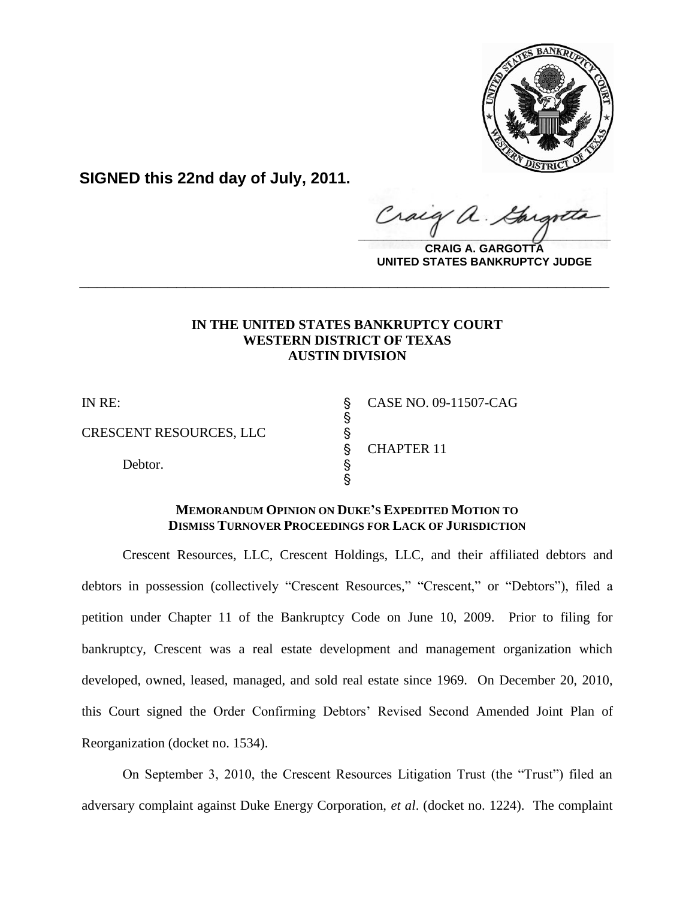

**SIGNED this 22nd day of July, 2011.**

craig  $\frac{1}{2}$ 

**CRAIG A. GARGOTTA UNITED STATES BANKRUPTCY JUDGE**

# **IN THE UNITED STATES BANKRUPTCY COURT WESTERN DISTRICT OF TEXAS AUSTIN DIVISION**

**\_\_\_\_\_\_\_\_\_\_\_\_\_\_\_\_\_\_\_\_\_\_\_\_\_\_\_\_\_\_\_\_\_\_\_\_\_\_\_\_\_\_\_\_\_\_\_\_\_\_\_\_\_\_\_\_\_\_\_\_**

CRESCENT RESOURCES, LLC '

Debtor.  $\S$ en andere de la provincia de la provincia de la provincia de la provincia de la provincia de la provincia de l

IN RE: ' CASE NO. 09-11507-CAG ' CHAPTER 11

## **MEMORANDUM OPINION ON DUKE'S EXPEDITED MOTION TO DISMISS TURNOVER PROCEEDINGS FOR LACK OF JURISDICTION**

**့**<br>ကော

Crescent Resources, LLC, Crescent Holdings, LLC, and their affiliated debtors and debtors in possession (collectively "Crescent Resources," "Crescent," or "Debtors"), filed a petition under Chapter 11 of the Bankruptcy Code on June 10, 2009. Prior to filing for bankruptcy, Crescent was a real estate development and management organization which developed, owned, leased, managed, and sold real estate since 1969. On December 20, 2010, this Court signed the Order Confirming Debtors" Revised Second Amended Joint Plan of Reorganization (docket no. 1534).

On September 3, 2010, the Crescent Resources Litigation Trust (the "Trust") filed an adversary complaint against Duke Energy Corporation, *et al*. (docket no. 1224). The complaint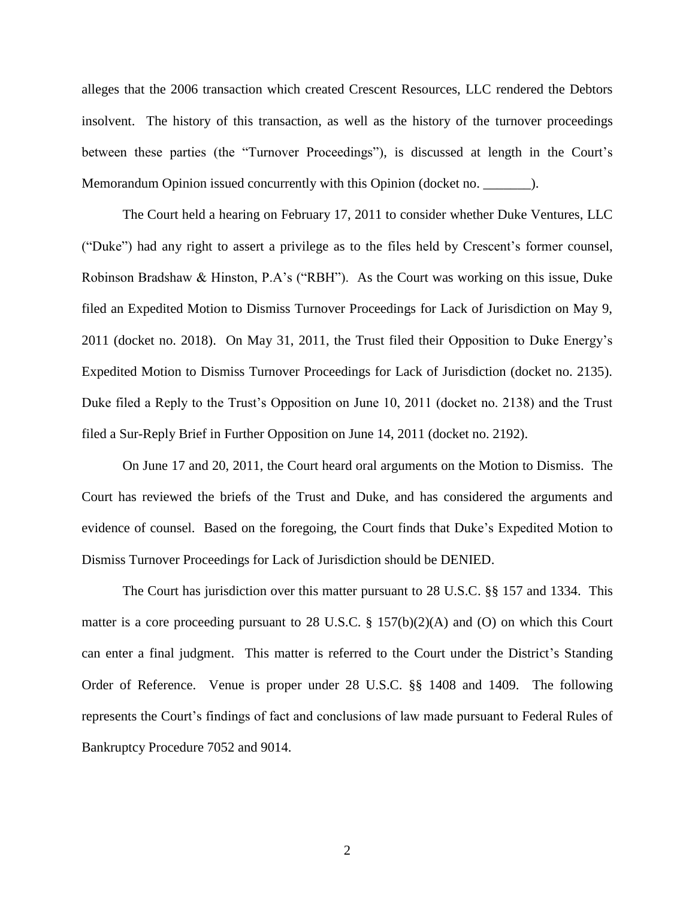alleges that the 2006 transaction which created Crescent Resources, LLC rendered the Debtors insolvent. The history of this transaction, as well as the history of the turnover proceedings between these parties (the "Turnover Proceedings"), is discussed at length in the Court's Memorandum Opinion issued concurrently with this Opinion (docket no. \_\_\_\_\_\_\_).

The Court held a hearing on February 17, 2011 to consider whether Duke Ventures, LLC ("Duke") had any right to assert a privilege as to the files held by Crescent"s former counsel, Robinson Bradshaw & Hinston, P.A"s ("RBH"). As the Court was working on this issue, Duke filed an Expedited Motion to Dismiss Turnover Proceedings for Lack of Jurisdiction on May 9, 2011 (docket no. 2018). On May 31, 2011, the Trust filed their Opposition to Duke Energy"s Expedited Motion to Dismiss Turnover Proceedings for Lack of Jurisdiction (docket no. 2135). Duke filed a Reply to the Trust"s Opposition on June 10, 2011 (docket no. 2138) and the Trust filed a Sur-Reply Brief in Further Opposition on June 14, 2011 (docket no. 2192).

On June 17 and 20, 2011, the Court heard oral arguments on the Motion to Dismiss. The Court has reviewed the briefs of the Trust and Duke, and has considered the arguments and evidence of counsel. Based on the foregoing, the Court finds that Duke"s Expedited Motion to Dismiss Turnover Proceedings for Lack of Jurisdiction should be DENIED.

The Court has jurisdiction over this matter pursuant to 28 U.S.C. §§ 157 and 1334. This matter is a core proceeding pursuant to 28 U.S.C. § 157(b)(2)(A) and (O) on which this Court can enter a final judgment. This matter is referred to the Court under the District's Standing Order of Reference. Venue is proper under 28 U.S.C. §§ 1408 and 1409. The following represents the Court's findings of fact and conclusions of law made pursuant to Federal Rules of Bankruptcy Procedure 7052 and 9014.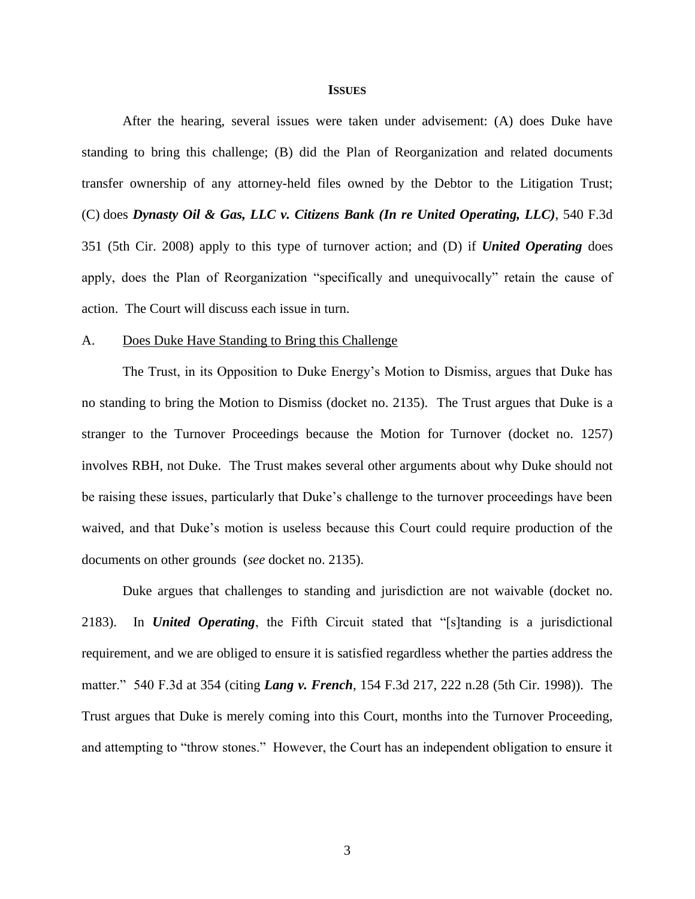#### **ISSUES**

After the hearing, several issues were taken under advisement: (A) does Duke have standing to bring this challenge; (B) did the Plan of Reorganization and related documents transfer ownership of any attorney-held files owned by the Debtor to the Litigation Trust; (C) does *Dynasty Oil & Gas, LLC v. Citizens Bank (In re United Operating, LLC)*, 540 F.3d 351 (5th Cir. 2008) apply to this type of turnover action; and (D) if *United Operating* does apply, does the Plan of Reorganization "specifically and unequivocally" retain the cause of action. The Court will discuss each issue in turn.

#### A. Does Duke Have Standing to Bring this Challenge

The Trust, in its Opposition to Duke Energy"s Motion to Dismiss, argues that Duke has no standing to bring the Motion to Dismiss (docket no. 2135). The Trust argues that Duke is a stranger to the Turnover Proceedings because the Motion for Turnover (docket no. 1257) involves RBH, not Duke. The Trust makes several other arguments about why Duke should not be raising these issues, particularly that Duke"s challenge to the turnover proceedings have been waived, and that Duke"s motion is useless because this Court could require production of the documents on other grounds (*see* docket no. 2135).

Duke argues that challenges to standing and jurisdiction are not waivable (docket no. 2183). In *United Operating*, the Fifth Circuit stated that "[s]tanding is a jurisdictional requirement, and we are obliged to ensure it is satisfied regardless whether the parties address the matter." 540 F.3d at 354 (citing *Lang v. French*, 154 F.3d 217, 222 n.28 (5th Cir. 1998)). The Trust argues that Duke is merely coming into this Court, months into the Turnover Proceeding, and attempting to "throw stones." However, the Court has an independent obligation to ensure it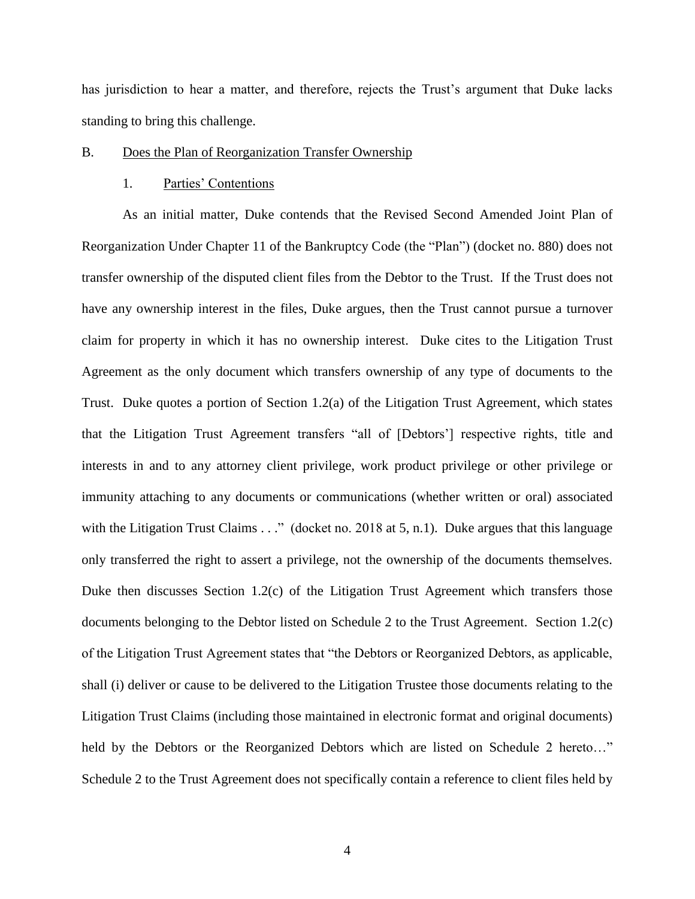has jurisdiction to hear a matter, and therefore, rejects the Trust's argument that Duke lacks standing to bring this challenge.

#### B. Does the Plan of Reorganization Transfer Ownership

#### 1. Parties" Contentions

As an initial matter, Duke contends that the Revised Second Amended Joint Plan of Reorganization Under Chapter 11 of the Bankruptcy Code (the "Plan") (docket no. 880) does not transfer ownership of the disputed client files from the Debtor to the Trust. If the Trust does not have any ownership interest in the files, Duke argues, then the Trust cannot pursue a turnover claim for property in which it has no ownership interest. Duke cites to the Litigation Trust Agreement as the only document which transfers ownership of any type of documents to the Trust. Duke quotes a portion of Section 1.2(a) of the Litigation Trust Agreement, which states that the Litigation Trust Agreement transfers "all of [Debtors"] respective rights, title and interests in and to any attorney client privilege, work product privilege or other privilege or immunity attaching to any documents or communications (whether written or oral) associated with the Litigation Trust Claims . . ." (docket no. 2018 at 5, n.1). Duke argues that this language only transferred the right to assert a privilege, not the ownership of the documents themselves. Duke then discusses Section 1.2(c) of the Litigation Trust Agreement which transfers those documents belonging to the Debtor listed on Schedule 2 to the Trust Agreement. Section 1.2(c) of the Litigation Trust Agreement states that "the Debtors or Reorganized Debtors, as applicable, shall (i) deliver or cause to be delivered to the Litigation Trustee those documents relating to the Litigation Trust Claims (including those maintained in electronic format and original documents) held by the Debtors or the Reorganized Debtors which are listed on Schedule 2 hereto..." Schedule 2 to the Trust Agreement does not specifically contain a reference to client files held by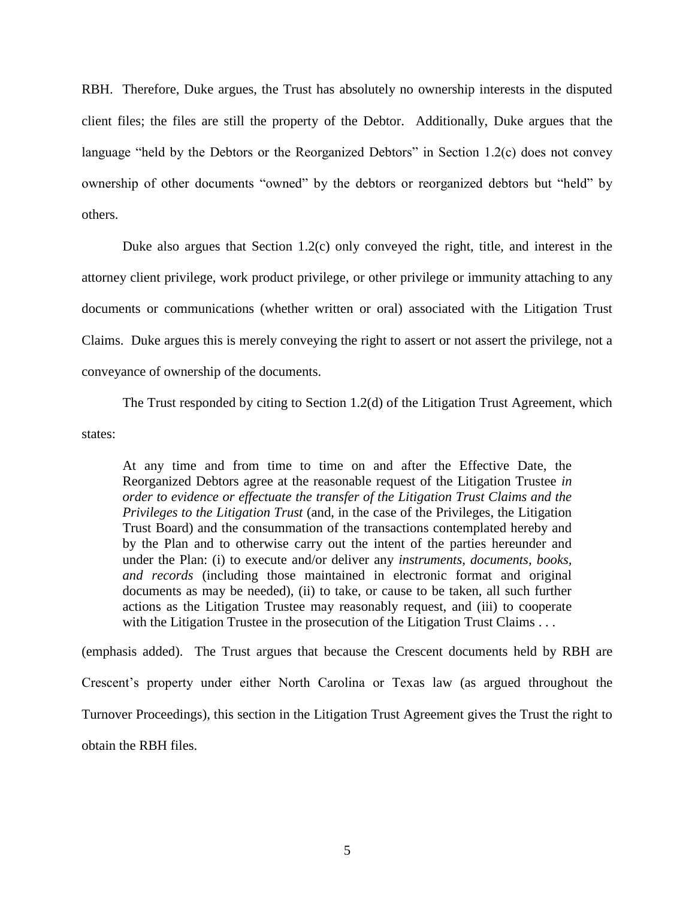RBH. Therefore, Duke argues, the Trust has absolutely no ownership interests in the disputed client files; the files are still the property of the Debtor. Additionally, Duke argues that the language "held by the Debtors or the Reorganized Debtors" in Section 1.2(c) does not convey ownership of other documents "owned" by the debtors or reorganized debtors but "held" by others.

Duke also argues that Section 1.2(c) only conveyed the right, title, and interest in the attorney client privilege, work product privilege, or other privilege or immunity attaching to any documents or communications (whether written or oral) associated with the Litigation Trust Claims. Duke argues this is merely conveying the right to assert or not assert the privilege, not a conveyance of ownership of the documents.

The Trust responded by citing to Section 1.2(d) of the Litigation Trust Agreement, which

states:

At any time and from time to time on and after the Effective Date, the Reorganized Debtors agree at the reasonable request of the Litigation Trustee *in order to evidence or effectuate the transfer of the Litigation Trust Claims and the Privileges to the Litigation Trust* (and, in the case of the Privileges, the Litigation Trust Board) and the consummation of the transactions contemplated hereby and by the Plan and to otherwise carry out the intent of the parties hereunder and under the Plan: (i) to execute and/or deliver any *instruments, documents, books, and records* (including those maintained in electronic format and original documents as may be needed), (ii) to take, or cause to be taken, all such further actions as the Litigation Trustee may reasonably request, and (iii) to cooperate with the Litigation Trustee in the prosecution of the Litigation Trust Claims . . .

(emphasis added). The Trust argues that because the Crescent documents held by RBH are Crescent"s property under either North Carolina or Texas law (as argued throughout the Turnover Proceedings), this section in the Litigation Trust Agreement gives the Trust the right to obtain the RBH files.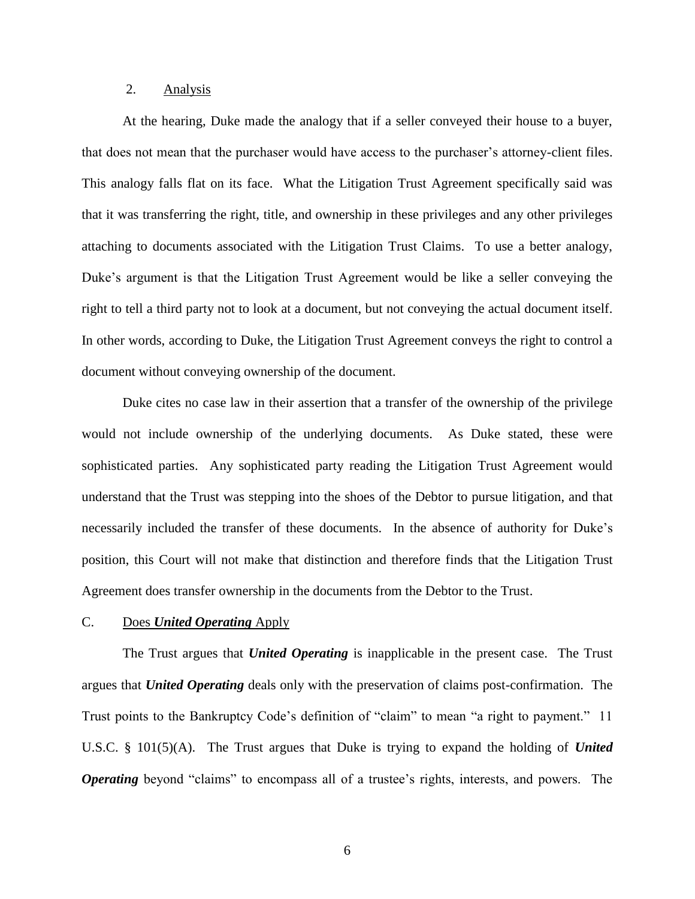## 2. Analysis

At the hearing, Duke made the analogy that if a seller conveyed their house to a buyer, that does not mean that the purchaser would have access to the purchaser"s attorney-client files. This analogy falls flat on its face. What the Litigation Trust Agreement specifically said was that it was transferring the right, title, and ownership in these privileges and any other privileges attaching to documents associated with the Litigation Trust Claims. To use a better analogy, Duke"s argument is that the Litigation Trust Agreement would be like a seller conveying the right to tell a third party not to look at a document, but not conveying the actual document itself. In other words, according to Duke, the Litigation Trust Agreement conveys the right to control a document without conveying ownership of the document.

Duke cites no case law in their assertion that a transfer of the ownership of the privilege would not include ownership of the underlying documents. As Duke stated, these were sophisticated parties. Any sophisticated party reading the Litigation Trust Agreement would understand that the Trust was stepping into the shoes of the Debtor to pursue litigation, and that necessarily included the transfer of these documents. In the absence of authority for Duke's position, this Court will not make that distinction and therefore finds that the Litigation Trust Agreement does transfer ownership in the documents from the Debtor to the Trust.

### C. Does *United Operating* Apply

The Trust argues that *United Operating* is inapplicable in the present case. The Trust argues that *United Operating* deals only with the preservation of claims post-confirmation. The Trust points to the Bankruptcy Code's definition of "claim" to mean "a right to payment." 11 U.S.C. § 101(5)(A). The Trust argues that Duke is trying to expand the holding of *United Operating* beyond "claims" to encompass all of a trustee's rights, interests, and powers. The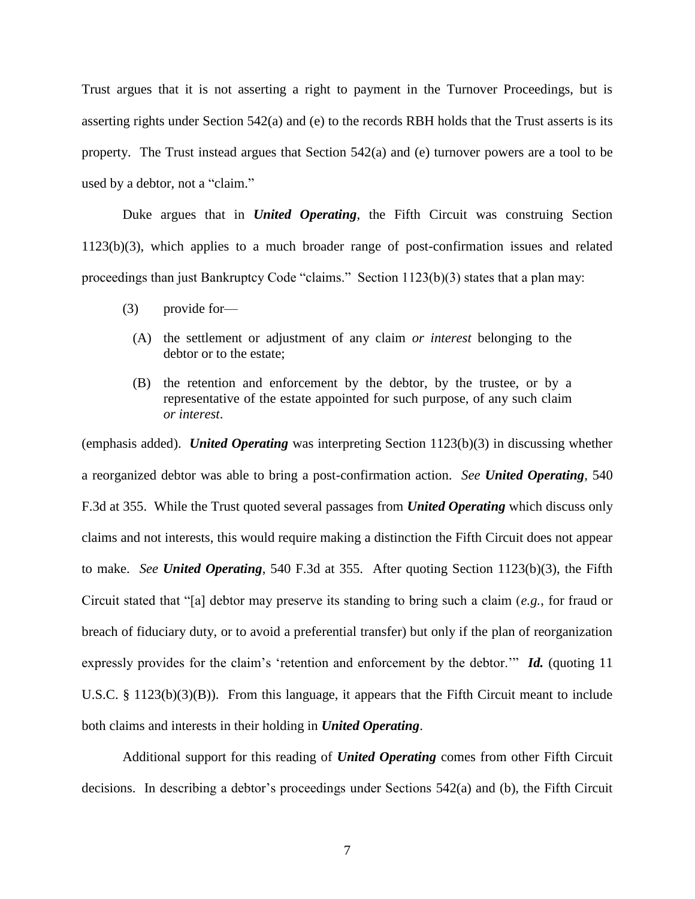Trust argues that it is not asserting a right to payment in the Turnover Proceedings, but is asserting rights under Section 542(a) and (e) to the records RBH holds that the Trust asserts is its property. The Trust instead argues that Section 542(a) and (e) turnover powers are a tool to be used by a debtor, not a "claim."

Duke argues that in *United Operating*, the Fifth Circuit was construing Section 1123(b)(3), which applies to a much broader range of post-confirmation issues and related proceedings than just Bankruptcy Code "claims." Section 1123(b)(3) states that a plan may:

- (3) provide for—
	- (A) the settlement or adjustment of any claim *or interest* belonging to the debtor or to the estate;
	- (B) the retention and enforcement by the debtor, by the trustee, or by a representative of the estate appointed for such purpose, of any such claim *or interest*.

(emphasis added). *United Operating* was interpreting Section 1123(b)(3) in discussing whether a reorganized debtor was able to bring a post-confirmation action. *See United Operating*, 540 F.3d at 355. While the Trust quoted several passages from *United Operating* which discuss only claims and not interests, this would require making a distinction the Fifth Circuit does not appear to make. *See United Operating*, 540 F.3d at 355. After quoting Section 1123(b)(3), the Fifth Circuit stated that "[a] debtor may preserve its standing to bring such a claim (*e.g.*, for fraud or breach of fiduciary duty, or to avoid a preferential transfer) but only if the plan of reorganization expressly provides for the claim's 'retention and enforcement by the debtor."" **Id.** (quoting 11) U.S.C. § 1123(b)(3)(B)). From this language, it appears that the Fifth Circuit meant to include both claims and interests in their holding in *United Operating*.

Additional support for this reading of *United Operating* comes from other Fifth Circuit decisions. In describing a debtor"s proceedings under Sections 542(a) and (b), the Fifth Circuit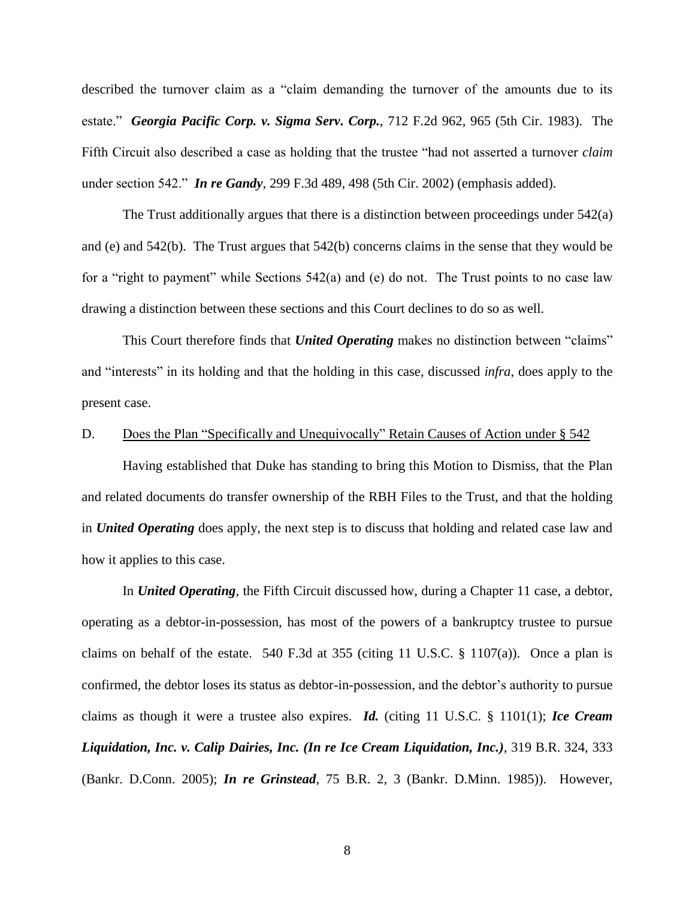described the turnover claim as a "claim demanding the turnover of the amounts due to its estate." *Georgia Pacific Corp. v. Sigma Serv. Corp.*, 712 F.2d 962, 965 (5th Cir. 1983). The Fifth Circuit also described a case as holding that the trustee "had not asserted a turnover *claim* under section 542." *In re Gandy*, 299 F.3d 489, 498 (5th Cir. 2002) (emphasis added).

The Trust additionally argues that there is a distinction between proceedings under 542(a) and (e) and 542(b). The Trust argues that 542(b) concerns claims in the sense that they would be for a "right to payment" while Sections 542(a) and (e) do not. The Trust points to no case law drawing a distinction between these sections and this Court declines to do so as well.

This Court therefore finds that *United Operating* makes no distinction between "claims" and "interests" in its holding and that the holding in this case, discussed *infra*, does apply to the present case.

### D. Does the Plan "Specifically and Unequivocally" Retain Causes of Action under § 542

Having established that Duke has standing to bring this Motion to Dismiss, that the Plan and related documents do transfer ownership of the RBH Files to the Trust, and that the holding in *United Operating* does apply, the next step is to discuss that holding and related case law and how it applies to this case.

In *United Operating*, the Fifth Circuit discussed how, during a Chapter 11 case, a debtor, operating as a debtor-in-possession, has most of the powers of a bankruptcy trustee to pursue claims on behalf of the estate. 540 F.3d at 355 (citing 11 U.S.C. § 1107(a)). Once a plan is confirmed, the debtor loses its status as debtor-in-possession, and the debtor"s authority to pursue claims as though it were a trustee also expires. *Id.* (citing 11 U.S.C. § 1101(1); *Ice Cream Liquidation, Inc. v. Calip Dairies, Inc. (In re Ice Cream Liquidation, Inc.)*, 319 B.R. 324, 333 (Bankr. D.Conn. 2005); *In re Grinstead*, 75 B.R. 2, 3 (Bankr. D.Minn. 1985)). However,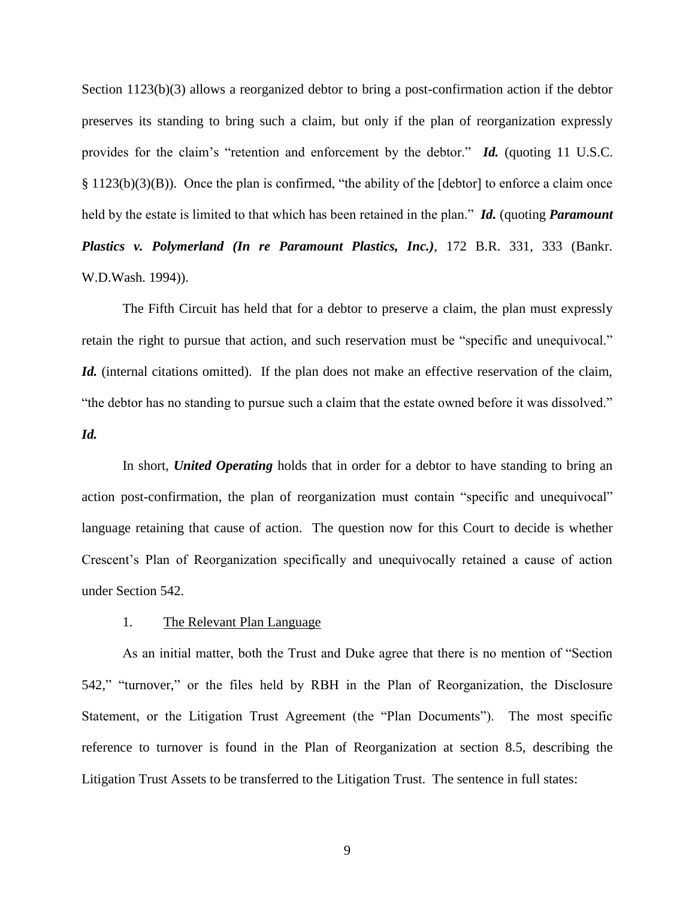Section 1123(b)(3) allows a reorganized debtor to bring a post-confirmation action if the debtor preserves its standing to bring such a claim, but only if the plan of reorganization expressly provides for the claim"s "retention and enforcement by the debtor." *Id.* (quoting 11 U.S.C. § 1123(b)(3)(B)). Once the plan is confirmed, "the ability of the [debtor] to enforce a claim once held by the estate is limited to that which has been retained in the plan." *Id.* (quoting *Paramount Plastics v. Polymerland (In re Paramount Plastics, Inc.)*, 172 B.R. 331, 333 (Bankr. W.D.Wash. 1994)).

The Fifth Circuit has held that for a debtor to preserve a claim, the plan must expressly retain the right to pursue that action, and such reservation must be "specific and unequivocal." *Id.* (internal citations omitted). If the plan does not make an effective reservation of the claim, "the debtor has no standing to pursue such a claim that the estate owned before it was dissolved." *Id.*

In short, *United Operating* holds that in order for a debtor to have standing to bring an action post-confirmation, the plan of reorganization must contain "specific and unequivocal" language retaining that cause of action. The question now for this Court to decide is whether Crescent"s Plan of Reorganization specifically and unequivocally retained a cause of action under Section 542.

### 1. The Relevant Plan Language

As an initial matter, both the Trust and Duke agree that there is no mention of "Section 542," "turnover," or the files held by RBH in the Plan of Reorganization, the Disclosure Statement, or the Litigation Trust Agreement (the "Plan Documents"). The most specific reference to turnover is found in the Plan of Reorganization at section 8.5, describing the Litigation Trust Assets to be transferred to the Litigation Trust. The sentence in full states:

9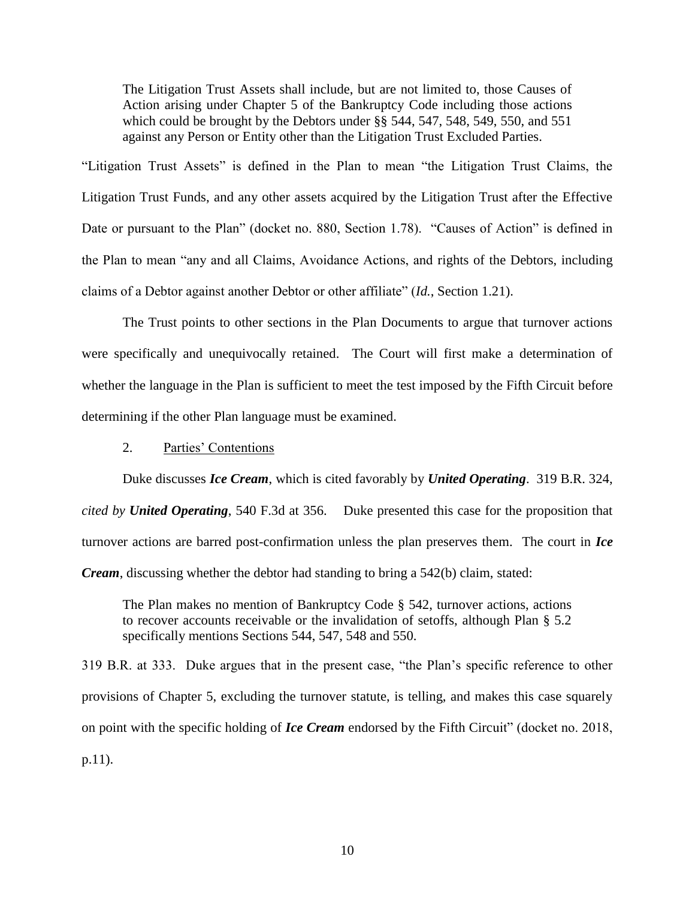The Litigation Trust Assets shall include, but are not limited to, those Causes of Action arising under Chapter 5 of the Bankruptcy Code including those actions which could be brought by the Debtors under §§ 544, 547, 548, 549, 550, and 551 against any Person or Entity other than the Litigation Trust Excluded Parties.

"Litigation Trust Assets" is defined in the Plan to mean "the Litigation Trust Claims, the Litigation Trust Funds, and any other assets acquired by the Litigation Trust after the Effective Date or pursuant to the Plan" (docket no. 880, Section 1.78). "Causes of Action" is defined in the Plan to mean "any and all Claims, Avoidance Actions, and rights of the Debtors, including claims of a Debtor against another Debtor or other affiliate" (*Id.*, Section 1.21).

The Trust points to other sections in the Plan Documents to argue that turnover actions were specifically and unequivocally retained. The Court will first make a determination of whether the language in the Plan is sufficient to meet the test imposed by the Fifth Circuit before determining if the other Plan language must be examined.

#### 2. Parties" Contentions

Duke discusses *Ice Cream*, which is cited favorably by *United Operating*. 319 B.R. 324, *cited by United Operating*, 540 F.3d at 356. Duke presented this case for the proposition that turnover actions are barred post-confirmation unless the plan preserves them. The court in *Ice Cream*, discussing whether the debtor had standing to bring a 542(b) claim, stated:

The Plan makes no mention of Bankruptcy Code § 542, turnover actions, actions to recover accounts receivable or the invalidation of setoffs, although Plan § 5.2 specifically mentions Sections 544, 547, 548 and 550.

319 B.R. at 333. Duke argues that in the present case, "the Plan"s specific reference to other provisions of Chapter 5, excluding the turnover statute, is telling, and makes this case squarely on point with the specific holding of *Ice Cream* endorsed by the Fifth Circuit" (docket no. 2018, p.11).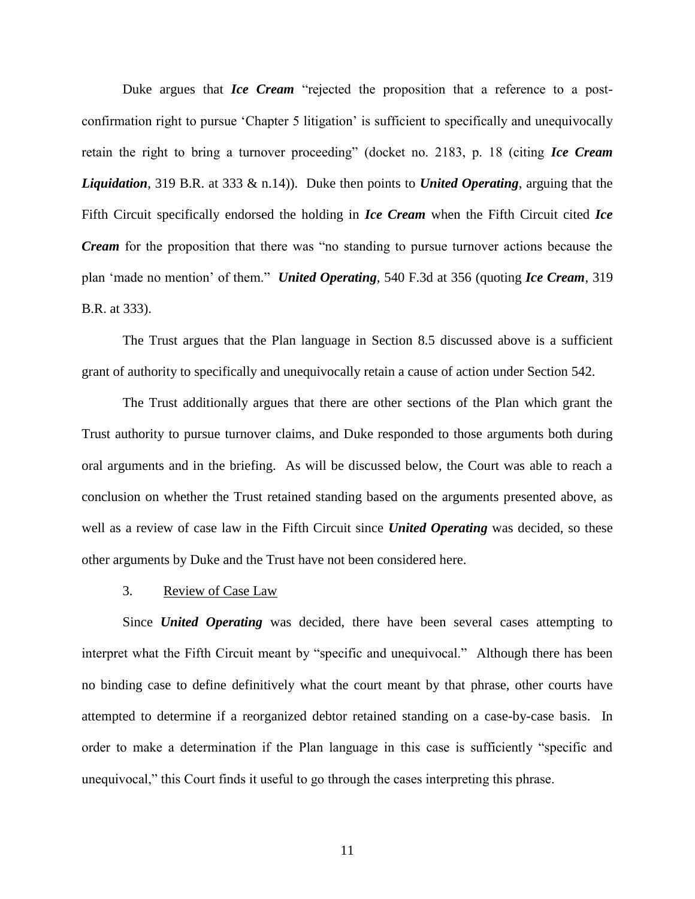Duke argues that *Ice Cream* "rejected the proposition that a reference to a postconfirmation right to pursue "Chapter 5 litigation" is sufficient to specifically and unequivocally retain the right to bring a turnover proceeding" (docket no. 2183, p. 18 (citing *Ice Cream Liquidation*, 319 B.R. at 333 & n.14)). Duke then points to *United Operating*, arguing that the Fifth Circuit specifically endorsed the holding in *Ice Cream* when the Fifth Circuit cited *Ice Cream* for the proposition that there was "no standing to pursue turnover actions because the plan "made no mention" of them." *United Operating*, 540 F.3d at 356 (quoting *Ice Cream*, 319 B.R. at 333).

The Trust argues that the Plan language in Section 8.5 discussed above is a sufficient grant of authority to specifically and unequivocally retain a cause of action under Section 542.

The Trust additionally argues that there are other sections of the Plan which grant the Trust authority to pursue turnover claims, and Duke responded to those arguments both during oral arguments and in the briefing. As will be discussed below, the Court was able to reach a conclusion on whether the Trust retained standing based on the arguments presented above, as well as a review of case law in the Fifth Circuit since *United Operating* was decided, so these other arguments by Duke and the Trust have not been considered here.

3. Review of Case Law

Since *United Operating* was decided, there have been several cases attempting to interpret what the Fifth Circuit meant by "specific and unequivocal." Although there has been no binding case to define definitively what the court meant by that phrase, other courts have attempted to determine if a reorganized debtor retained standing on a case-by-case basis. In order to make a determination if the Plan language in this case is sufficiently "specific and unequivocal," this Court finds it useful to go through the cases interpreting this phrase.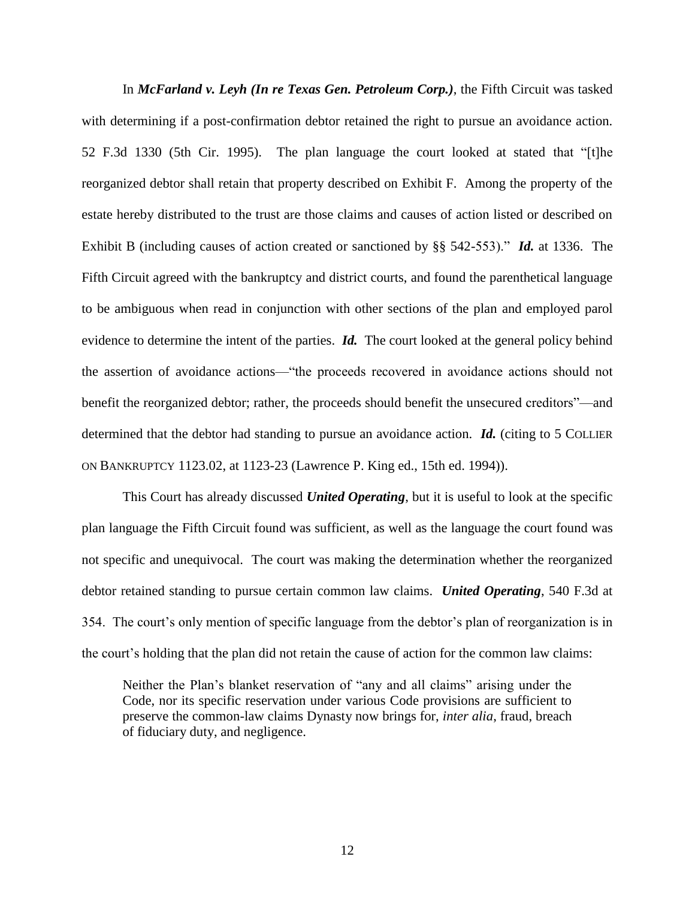In *McFarland v. Leyh (In re Texas Gen. Petroleum Corp.)*, the Fifth Circuit was tasked with determining if a post-confirmation debtor retained the right to pursue an avoidance action. 52 F.3d 1330 (5th Cir. 1995). The plan language the court looked at stated that "[t]he reorganized debtor shall retain that property described on Exhibit F. Among the property of the estate hereby distributed to the trust are those claims and causes of action listed or described on Exhibit B (including causes of action created or sanctioned by §§ 542-553)." *Id.* at 1336. The Fifth Circuit agreed with the bankruptcy and district courts, and found the parenthetical language to be ambiguous when read in conjunction with other sections of the plan and employed parol evidence to determine the intent of the parties. *Id.* The court looked at the general policy behind the assertion of avoidance actions—"the proceeds recovered in avoidance actions should not benefit the reorganized debtor; rather, the proceeds should benefit the unsecured creditors"—and determined that the debtor had standing to pursue an avoidance action. **Id.** (citing to 5 COLLIER ON BANKRUPTCY 1123.02, at 1123-23 (Lawrence P. King ed., 15th ed. 1994)).

This Court has already discussed *United Operating*, but it is useful to look at the specific plan language the Fifth Circuit found was sufficient, as well as the language the court found was not specific and unequivocal. The court was making the determination whether the reorganized debtor retained standing to pursue certain common law claims. *United Operating*, 540 F.3d at 354. The court's only mention of specific language from the debtor's plan of reorganization is in the court's holding that the plan did not retain the cause of action for the common law claims:

Neither the Plan"s blanket reservation of "any and all claims" arising under the Code, nor its specific reservation under various Code provisions are sufficient to preserve the common-law claims Dynasty now brings for, *inter alia*, fraud, breach of fiduciary duty, and negligence.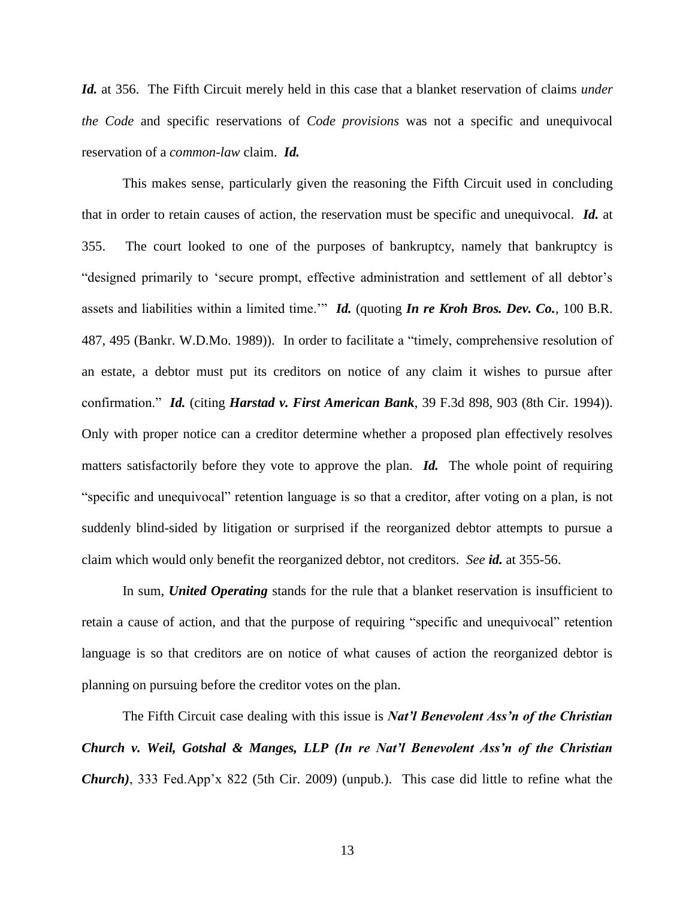*Id.* at 356. The Fifth Circuit merely held in this case that a blanket reservation of claims *under the Code* and specific reservations of *Code provisions* was not a specific and unequivocal reservation of a *common-law* claim. *Id.*

This makes sense, particularly given the reasoning the Fifth Circuit used in concluding that in order to retain causes of action, the reservation must be specific and unequivocal. *Id.* at 355. The court looked to one of the purposes of bankruptcy, namely that bankruptcy is "designed primarily to "secure prompt, effective administration and settlement of all debtor"s assets and liabilities within a limited time."" *Id.* (quoting *In re Kroh Bros. Dev. Co.*, 100 B.R. 487, 495 (Bankr. W.D.Mo. 1989)). In order to facilitate a "timely, comprehensive resolution of an estate, a debtor must put its creditors on notice of any claim it wishes to pursue after confirmation." *Id.* (citing *Harstad v. First American Bank*, 39 F.3d 898, 903 (8th Cir. 1994)). Only with proper notice can a creditor determine whether a proposed plan effectively resolves matters satisfactorily before they vote to approve the plan. *Id.* The whole point of requiring "specific and unequivocal" retention language is so that a creditor, after voting on a plan, is not suddenly blind-sided by litigation or surprised if the reorganized debtor attempts to pursue a claim which would only benefit the reorganized debtor, not creditors. *See id.* at 355-56.

In sum, *United Operating* stands for the rule that a blanket reservation is insufficient to retain a cause of action, and that the purpose of requiring "specific and unequivocal" retention language is so that creditors are on notice of what causes of action the reorganized debtor is planning on pursuing before the creditor votes on the plan.

The Fifth Circuit case dealing with this issue is *Nat'l Benevolent Ass'n of the Christian Church v. Weil, Gotshal & Manges, LLP (In re Nat'l Benevolent Ass'n of the Christian Church)*, 333 Fed.App"x 822 (5th Cir. 2009) (unpub.). This case did little to refine what the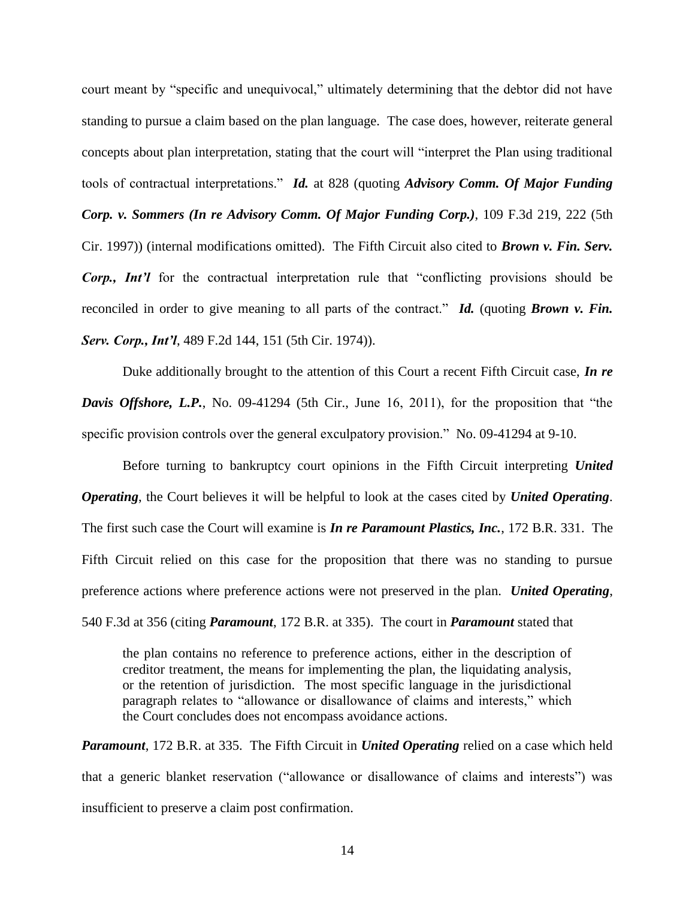court meant by "specific and unequivocal," ultimately determining that the debtor did not have standing to pursue a claim based on the plan language. The case does, however, reiterate general concepts about plan interpretation, stating that the court will "interpret the Plan using traditional tools of contractual interpretations." *Id.* at 828 (quoting *Advisory Comm. Of Major Funding Corp. v. Sommers (In re Advisory Comm. Of Major Funding Corp.)*, 109 F.3d 219, 222 (5th Cir. 1997)) (internal modifications omitted). The Fifth Circuit also cited to *Brown v. Fin. Serv. Corp., Int'l* for the contractual interpretation rule that "conflicting provisions should be reconciled in order to give meaning to all parts of the contract." *Id.* (quoting *Brown v. Fin. Serv. Corp., Int'l*, 489 F.2d 144, 151 (5th Cir. 1974)).

Duke additionally brought to the attention of this Court a recent Fifth Circuit case, *In re Davis Offshore, L.P.*, No. 09-41294 (5th Cir., June 16, 2011), for the proposition that "the specific provision controls over the general exculpatory provision." No. 09-41294 at 9-10.

Before turning to bankruptcy court opinions in the Fifth Circuit interpreting *United Operating*, the Court believes it will be helpful to look at the cases cited by *United Operating*. The first such case the Court will examine is *In re Paramount Plastics, Inc.*, 172 B.R. 331. The Fifth Circuit relied on this case for the proposition that there was no standing to pursue preference actions where preference actions were not preserved in the plan. *United Operating*, 540 F.3d at 356 (citing *Paramount*, 172 B.R. at 335). The court in *Paramount* stated that

the plan contains no reference to preference actions, either in the description of creditor treatment, the means for implementing the plan, the liquidating analysis, or the retention of jurisdiction. The most specific language in the jurisdictional paragraph relates to "allowance or disallowance of claims and interests," which the Court concludes does not encompass avoidance actions.

*Paramount*, 172 B.R. at 335. The Fifth Circuit in *United Operating* relied on a case which held that a generic blanket reservation ("allowance or disallowance of claims and interests") was insufficient to preserve a claim post confirmation.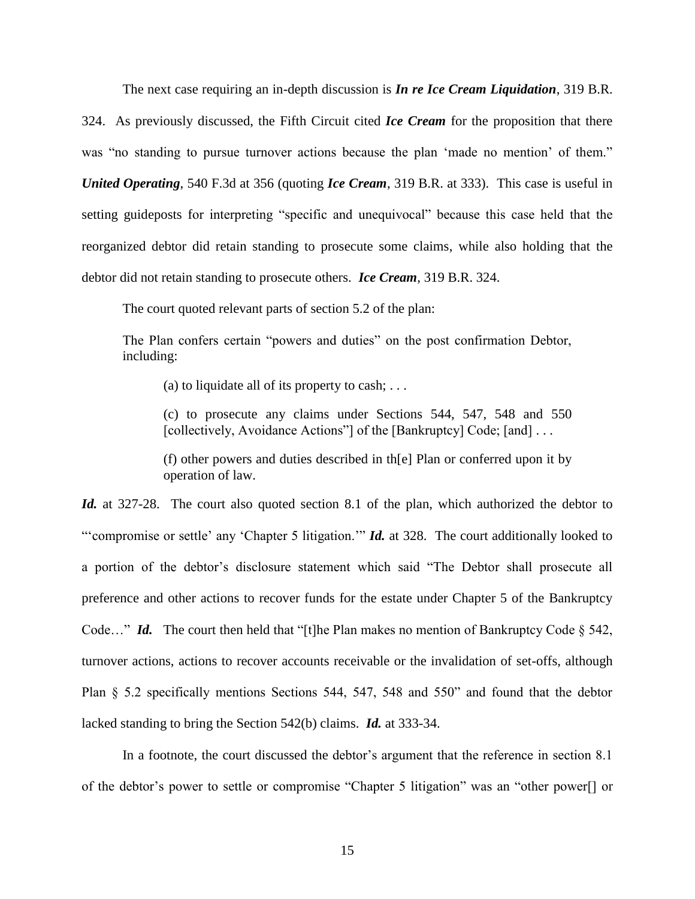The next case requiring an in-depth discussion is *In re Ice Cream Liquidation*, 319 B.R.

324. As previously discussed, the Fifth Circuit cited *Ice Cream* for the proposition that there was "no standing to pursue turnover actions because the plan 'made no mention' of them." *United Operating*, 540 F.3d at 356 (quoting *Ice Cream*, 319 B.R. at 333). This case is useful in setting guideposts for interpreting "specific and unequivocal" because this case held that the reorganized debtor did retain standing to prosecute some claims, while also holding that the debtor did not retain standing to prosecute others. *Ice Cream*, 319 B.R. 324.

The court quoted relevant parts of section 5.2 of the plan:

The Plan confers certain "powers and duties" on the post confirmation Debtor, including:

(a) to liquidate all of its property to cash;  $\dots$ 

(c) to prosecute any claims under Sections 544, 547, 548 and 550 [collectively, Avoidance Actions"] of the [Bankruptcy] Code; [and] ...

(f) other powers and duties described in th[e] Plan or conferred upon it by operation of law.

*Id.* at 327-28. The court also quoted section 8.1 of the plan, which authorized the debtor to ""compromise or settle" any "Chapter 5 litigation."" *Id.* at 328. The court additionally looked to a portion of the debtor"s disclosure statement which said "The Debtor shall prosecute all preference and other actions to recover funds for the estate under Chapter 5 of the Bankruptcy Code..." *Id.* The court then held that "[t]he Plan makes no mention of Bankruptcy Code § 542, turnover actions, actions to recover accounts receivable or the invalidation of set-offs, although Plan § 5.2 specifically mentions Sections 544, 547, 548 and 550" and found that the debtor lacked standing to bring the Section 542(b) claims. *Id.* at 333-34.

In a footnote, the court discussed the debtor's argument that the reference in section 8.1 of the debtor"s power to settle or compromise "Chapter 5 litigation" was an "other power[] or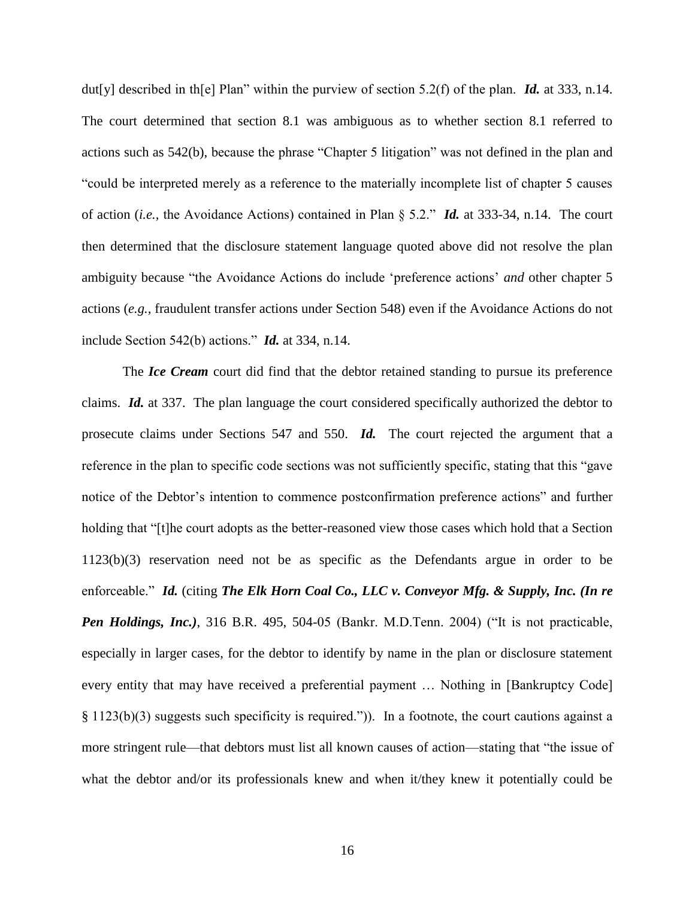dut[y] described in th[e] Plan" within the purview of section 5.2(f) of the plan. *Id.* at 333, n.14. The court determined that section 8.1 was ambiguous as to whether section 8.1 referred to actions such as 542(b), because the phrase "Chapter 5 litigation" was not defined in the plan and "could be interpreted merely as a reference to the materially incomplete list of chapter 5 causes of action (*i.e.,* the Avoidance Actions) contained in Plan § 5.2." *Id.* at 333-34, n.14. The court then determined that the disclosure statement language quoted above did not resolve the plan ambiguity because "the Avoidance Actions do include "preference actions" *and* other chapter 5 actions (*e.g.,* fraudulent transfer actions under Section 548) even if the Avoidance Actions do not include Section 542(b) actions." *Id.* at 334, n.14.

The *Ice Cream* court did find that the debtor retained standing to pursue its preference claims. *Id.* at 337. The plan language the court considered specifically authorized the debtor to prosecute claims under Sections 547 and 550. *Id.* The court rejected the argument that a reference in the plan to specific code sections was not sufficiently specific, stating that this "gave notice of the Debtor"s intention to commence postconfirmation preference actions" and further holding that "[t]he court adopts as the better-reasoned view those cases which hold that a Section 1123(b)(3) reservation need not be as specific as the Defendants argue in order to be enforceable." *Id.* (citing *The Elk Horn Coal Co., LLC v. Conveyor Mfg. & Supply, Inc. (In re Pen Holdings, Inc.)*, 316 B.R. 495, 504-05 (Bankr. M.D.Tenn. 2004) ("It is not practicable, especially in larger cases, for the debtor to identify by name in the plan or disclosure statement every entity that may have received a preferential payment … Nothing in [Bankruptcy Code] § 1123(b)(3) suggests such specificity is required.")). In a footnote, the court cautions against a more stringent rule—that debtors must list all known causes of action—stating that "the issue of what the debtor and/or its professionals knew and when it/they knew it potentially could be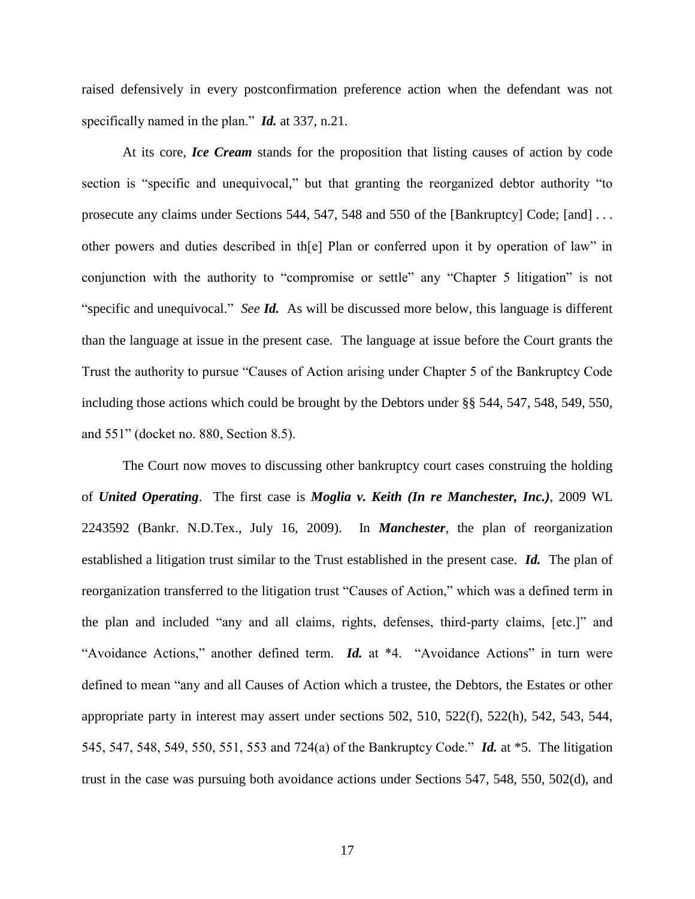raised defensively in every postconfirmation preference action when the defendant was not specifically named in the plan." *Id.* at 337, n.21.

At its core, *Ice Cream* stands for the proposition that listing causes of action by code section is "specific and unequivocal," but that granting the reorganized debtor authority "to prosecute any claims under Sections 544, 547, 548 and 550 of the [Bankruptcy] Code; [and] ... other powers and duties described in th[e] Plan or conferred upon it by operation of law" in conjunction with the authority to "compromise or settle" any "Chapter 5 litigation" is not "specific and unequivocal." *See Id.* As will be discussed more below, this language is different than the language at issue in the present case. The language at issue before the Court grants the Trust the authority to pursue "Causes of Action arising under Chapter 5 of the Bankruptcy Code including those actions which could be brought by the Debtors under §§ 544, 547, 548, 549, 550, and 551" (docket no. 880, Section 8.5).

The Court now moves to discussing other bankruptcy court cases construing the holding of *United Operating*. The first case is *Moglia v. Keith (In re Manchester, Inc.)*, 2009 WL 2243592 (Bankr. N.D.Tex., July 16, 2009). In *Manchester*, the plan of reorganization established a litigation trust similar to the Trust established in the present case. *Id.* The plan of reorganization transferred to the litigation trust "Causes of Action," which was a defined term in the plan and included "any and all claims, rights, defenses, third-party claims, [etc.]" and "Avoidance Actions," another defined term. *Id.* at \*4. "Avoidance Actions" in turn were defined to mean "any and all Causes of Action which a trustee, the Debtors, the Estates or other appropriate party in interest may assert under sections 502, 510, 522(f), 522(h), 542, 543, 544, 545, 547, 548, 549, 550, 551, 553 and 724(a) of the Bankruptcy Code." *Id.* at \*5. The litigation trust in the case was pursuing both avoidance actions under Sections 547, 548, 550, 502(d), and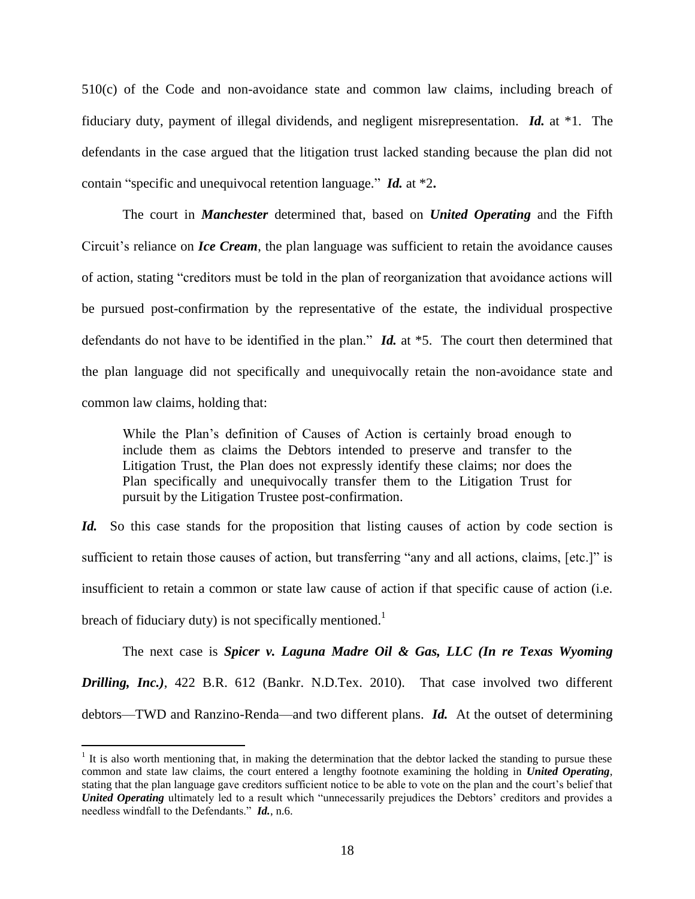510(c) of the Code and non-avoidance state and common law claims, including breach of fiduciary duty, payment of illegal dividends, and negligent misrepresentation. *Id.* at \*1. The defendants in the case argued that the litigation trust lacked standing because the plan did not contain "specific and unequivocal retention language." *Id.* at \*2**.** 

The court in *Manchester* determined that, based on *United Operating* and the Fifth Circuit's reliance on *Ice Cream*, the plan language was sufficient to retain the avoidance causes of action, stating "creditors must be told in the plan of reorganization that avoidance actions will be pursued post-confirmation by the representative of the estate, the individual prospective defendants do not have to be identified in the plan." *Id.* at \*5. The court then determined that the plan language did not specifically and unequivocally retain the non-avoidance state and common law claims, holding that:

While the Plan"s definition of Causes of Action is certainly broad enough to include them as claims the Debtors intended to preserve and transfer to the Litigation Trust, the Plan does not expressly identify these claims; nor does the Plan specifically and unequivocally transfer them to the Litigation Trust for pursuit by the Litigation Trustee post-confirmation.

*Id.* So this case stands for the proposition that listing causes of action by code section is sufficient to retain those causes of action, but transferring "any and all actions, claims, [etc.]" is insufficient to retain a common or state law cause of action if that specific cause of action (i.e. breach of fiduciary duty) is not specifically mentioned.<sup>1</sup>

The next case is *Spicer v. Laguna Madre Oil & Gas, LLC (In re Texas Wyoming Drilling, Inc.)*, 422 B.R. 612 (Bankr. N.D.Tex. 2010). That case involved two different debtors—TWD and Ranzino-Renda—and two different plans. *Id.* At the outset of determining

 $\overline{a}$ 

 $<sup>1</sup>$  It is also worth mentioning that, in making the determination that the debtor lacked the standing to pursue these</sup> common and state law claims, the court entered a lengthy footnote examining the holding in *United Operating*, stating that the plan language gave creditors sufficient notice to be able to vote on the plan and the court"s belief that *United Operating* ultimately led to a result which "unnecessarily prejudices the Debtors' creditors and provides a needless windfall to the Defendants." *Id.*, n.6.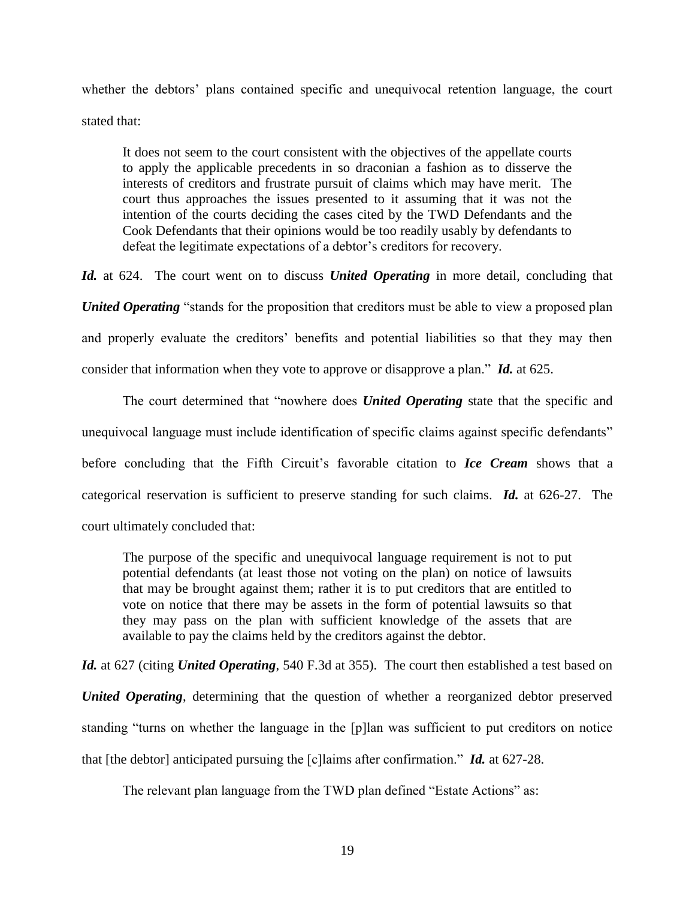whether the debtors' plans contained specific and unequivocal retention language, the court stated that:

It does not seem to the court consistent with the objectives of the appellate courts to apply the applicable precedents in so draconian a fashion as to disserve the interests of creditors and frustrate pursuit of claims which may have merit. The court thus approaches the issues presented to it assuming that it was not the intention of the courts deciding the cases cited by the TWD Defendants and the Cook Defendants that their opinions would be too readily usably by defendants to defeat the legitimate expectations of a debtor"s creditors for recovery.

*Id.* at 624. The court went on to discuss *United Operating* in more detail, concluding that *United Operating* "stands for the proposition that creditors must be able to view a proposed plan and properly evaluate the creditors' benefits and potential liabilities so that they may then consider that information when they vote to approve or disapprove a plan." *Id.* at 625.

The court determined that "nowhere does *United Operating* state that the specific and unequivocal language must include identification of specific claims against specific defendants" before concluding that the Fifth Circuit's favorable citation to *Ice Cream* shows that a categorical reservation is sufficient to preserve standing for such claims. *Id.* at 626-27. The court ultimately concluded that:

The purpose of the specific and unequivocal language requirement is not to put potential defendants (at least those not voting on the plan) on notice of lawsuits that may be brought against them; rather it is to put creditors that are entitled to vote on notice that there may be assets in the form of potential lawsuits so that they may pass on the plan with sufficient knowledge of the assets that are available to pay the claims held by the creditors against the debtor.

*Id.* at 627 (citing *United Operating*, 540 F.3d at 355). The court then established a test based on

*United Operating*, determining that the question of whether a reorganized debtor preserved standing "turns on whether the language in the [p]lan was sufficient to put creditors on notice that [the debtor] anticipated pursuing the [c]laims after confirmation." *Id.* at 627-28.

The relevant plan language from the TWD plan defined "Estate Actions" as: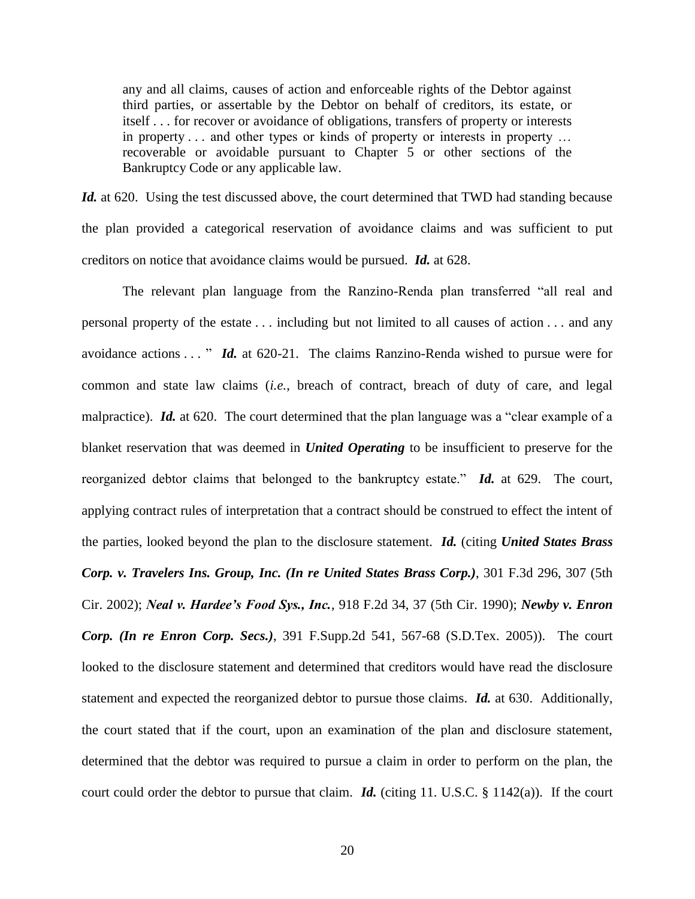any and all claims, causes of action and enforceable rights of the Debtor against third parties, or assertable by the Debtor on behalf of creditors, its estate, or itself . . . for recover or avoidance of obligations, transfers of property or interests in property . . . and other types or kinds of property or interests in property … recoverable or avoidable pursuant to Chapter 5 or other sections of the Bankruptcy Code or any applicable law.

Id. at 620. Using the test discussed above, the court determined that TWD had standing because the plan provided a categorical reservation of avoidance claims and was sufficient to put creditors on notice that avoidance claims would be pursued. *Id.* at 628.

The relevant plan language from the Ranzino-Renda plan transferred "all real and personal property of the estate . . . including but not limited to all causes of action . . . and any avoidance actions . . . " *Id.* at 620-21. The claims Ranzino-Renda wished to pursue were for common and state law claims (*i.e.*, breach of contract, breach of duty of care, and legal malpractice). *Id.* at 620. The court determined that the plan language was a "clear example of a blanket reservation that was deemed in *United Operating* to be insufficient to preserve for the reorganized debtor claims that belonged to the bankruptcy estate." *Id.* at 629. The court, applying contract rules of interpretation that a contract should be construed to effect the intent of the parties, looked beyond the plan to the disclosure statement. *Id.* (citing *United States Brass Corp. v. Travelers Ins. Group, Inc. (In re United States Brass Corp.)*, 301 F.3d 296, 307 (5th Cir. 2002); *Neal v. Hardee's Food Sys., Inc.*, 918 F.2d 34, 37 (5th Cir. 1990); *Newby v. Enron Corp. (In re Enron Corp. Secs.)*, 391 F.Supp.2d 541, 567-68 (S.D.Tex. 2005)). The court looked to the disclosure statement and determined that creditors would have read the disclosure statement and expected the reorganized debtor to pursue those claims. *Id.* at 630. Additionally, the court stated that if the court, upon an examination of the plan and disclosure statement, determined that the debtor was required to pursue a claim in order to perform on the plan, the court could order the debtor to pursue that claim. *Id.* (citing 11. U.S.C. § 1142(a)). If the court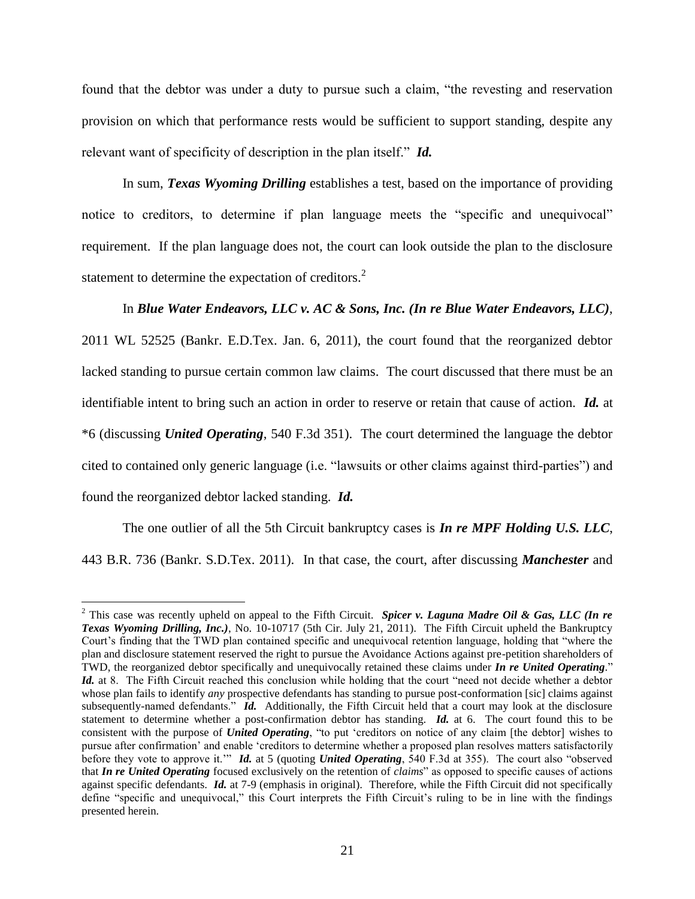found that the debtor was under a duty to pursue such a claim, "the revesting and reservation provision on which that performance rests would be sufficient to support standing, despite any relevant want of specificity of description in the plan itself." *Id.*

In sum, *Texas Wyoming Drilling* establishes a test, based on the importance of providing notice to creditors, to determine if plan language meets the "specific and unequivocal" requirement. If the plan language does not, the court can look outside the plan to the disclosure statement to determine the expectation of creditors.<sup>2</sup>

### In *Blue Water Endeavors, LLC v. AC & Sons, Inc. (In re Blue Water Endeavors, LLC)*,

2011 WL 52525 (Bankr. E.D.Tex. Jan. 6, 2011), the court found that the reorganized debtor lacked standing to pursue certain common law claims. The court discussed that there must be an identifiable intent to bring such an action in order to reserve or retain that cause of action. *Id.* at \*6 (discussing *United Operating*, 540 F.3d 351). The court determined the language the debtor cited to contained only generic language (i.e. "lawsuits or other claims against third-parties") and found the reorganized debtor lacked standing. *Id.*

The one outlier of all the 5th Circuit bankruptcy cases is *In re MPF Holding U.S. LLC*, 443 B.R. 736 (Bankr. S.D.Tex. 2011). In that case, the court, after discussing *Manchester* and

 $\overline{a}$ 

<sup>2</sup> This case was recently upheld on appeal to the Fifth Circuit. *Spicer v. Laguna Madre Oil & Gas, LLC (In re Texas Wyoming Drilling, Inc.)*, No. 10-10717 (5th Cir. July 21, 2011). The Fifth Circuit upheld the Bankruptcy Court"s finding that the TWD plan contained specific and unequivocal retention language, holding that "where the plan and disclosure statement reserved the right to pursue the Avoidance Actions against pre-petition shareholders of TWD, the reorganized debtor specifically and unequivocally retained these claims under *In re United Operating*." *Id.* at 8. The Fifth Circuit reached this conclusion while holding that the court "need not decide whether a debtor whose plan fails to identify *any* prospective defendants has standing to pursue post-conformation [sic] claims against subsequently-named defendants." *Id.* Additionally, the Fifth Circuit held that a court may look at the disclosure statement to determine whether a post-confirmation debtor has standing. *Id.* at 6. The court found this to be consistent with the purpose of *United Operating*, "to put "creditors on notice of any claim [the debtor] wishes to pursue after confirmation" and enable "creditors to determine whether a proposed plan resolves matters satisfactorily before they vote to approve it."" *Id.* at 5 (quoting *United Operating*, 540 F.3d at 355). The court also "observed that *In re United Operating* focused exclusively on the retention of *claims*" as opposed to specific causes of actions against specific defendants. *Id.* at 7-9 (emphasis in original). Therefore, while the Fifth Circuit did not specifically define "specific and unequivocal," this Court interprets the Fifth Circuit's ruling to be in line with the findings presented herein.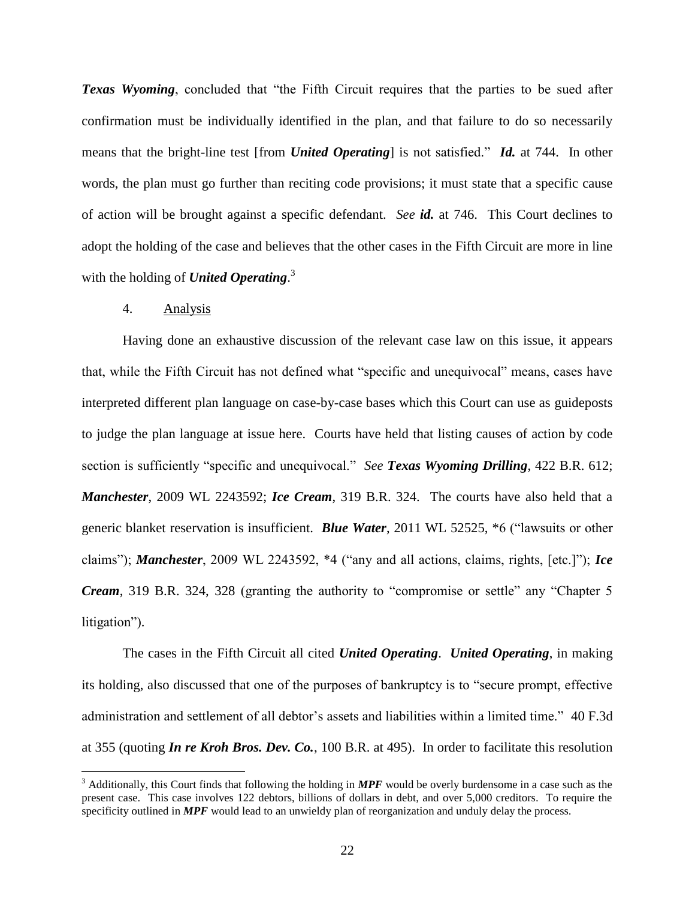**Texas Wyoming**, concluded that "the Fifth Circuit requires that the parties to be sued after confirmation must be individually identified in the plan, and that failure to do so necessarily means that the bright-line test [from *United Operating*] is not satisfied." *Id.* at 744. In other words, the plan must go further than reciting code provisions; it must state that a specific cause of action will be brought against a specific defendant. *See id.* at 746. This Court declines to adopt the holding of the case and believes that the other cases in the Fifth Circuit are more in line with the holding of *United Operating*.<sup>3</sup>

### 4. Analysis

 $\overline{a}$ 

Having done an exhaustive discussion of the relevant case law on this issue, it appears that, while the Fifth Circuit has not defined what "specific and unequivocal" means, cases have interpreted different plan language on case-by-case bases which this Court can use as guideposts to judge the plan language at issue here. Courts have held that listing causes of action by code section is sufficiently "specific and unequivocal." *See Texas Wyoming Drilling*, 422 B.R. 612; *Manchester*, 2009 WL 2243592; *Ice Cream*, 319 B.R. 324. The courts have also held that a generic blanket reservation is insufficient. *Blue Water*, 2011 WL 52525, \*6 ("lawsuits or other claims"); *Manchester*, 2009 WL 2243592, \*4 ("any and all actions, claims, rights, [etc.]"); *Ice Cream*, 319 B.R. 324, 328 (granting the authority to "compromise or settle" any "Chapter 5 litigation").

The cases in the Fifth Circuit all cited *United Operating*. *United Operating*, in making its holding, also discussed that one of the purposes of bankruptcy is to "secure prompt, effective administration and settlement of all debtor's assets and liabilities within a limited time." 40 F.3d at 355 (quoting *In re Kroh Bros. Dev. Co.*, 100 B.R. at 495). In order to facilitate this resolution

<sup>&</sup>lt;sup>3</sup> Additionally, this Court finds that following the holding in MPF would be overly burdensome in a case such as the present case. This case involves 122 debtors, billions of dollars in debt, and over 5,000 creditors. To require the specificity outlined in *MPF* would lead to an unwieldy plan of reorganization and unduly delay the process.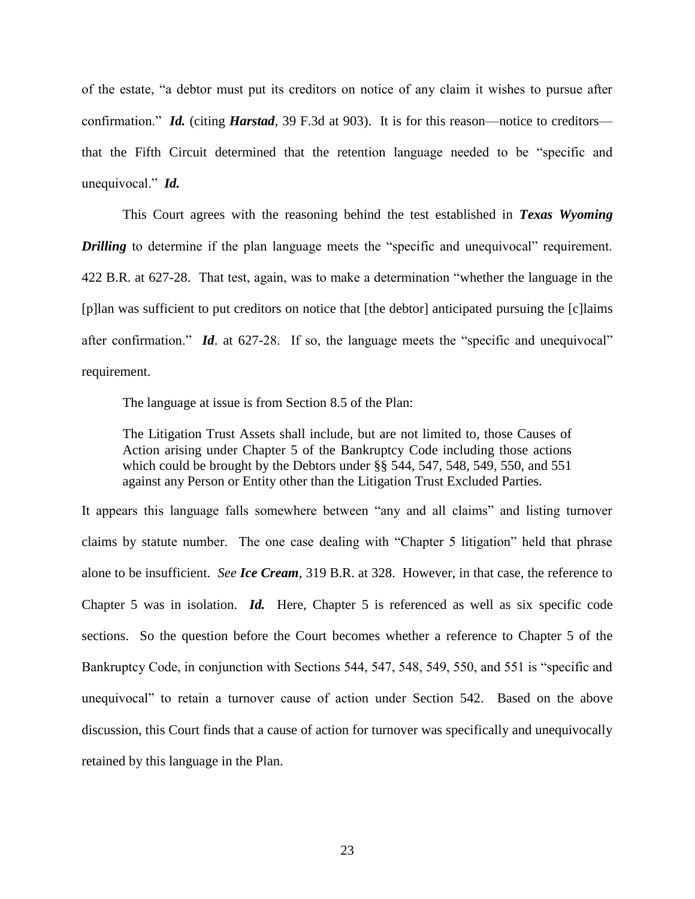of the estate, "a debtor must put its creditors on notice of any claim it wishes to pursue after confirmation." *Id.* (citing *Harstad*, 39 F.3d at 903). It is for this reason—notice to creditors that the Fifth Circuit determined that the retention language needed to be "specific and unequivocal." *Id.* 

This Court agrees with the reasoning behind the test established in *Texas Wyoming Drilling* to determine if the plan language meets the "specific and unequivocal" requirement. 422 B.R. at 627-28. That test, again, was to make a determination "whether the language in the [p]lan was sufficient to put creditors on notice that [the debtor] anticipated pursuing the [c]laims after confirmation." *Id*. at 627-28. If so, the language meets the "specific and unequivocal" requirement.

The language at issue is from Section 8.5 of the Plan:

The Litigation Trust Assets shall include, but are not limited to, those Causes of Action arising under Chapter 5 of the Bankruptcy Code including those actions which could be brought by the Debtors under §§ 544, 547, 548, 549, 550, and 551 against any Person or Entity other than the Litigation Trust Excluded Parties.

It appears this language falls somewhere between "any and all claims" and listing turnover claims by statute number. The one case dealing with "Chapter 5 litigation" held that phrase alone to be insufficient. *See Ice Cream*, 319 B.R. at 328. However, in that case, the reference to Chapter 5 was in isolation. *Id.* Here, Chapter 5 is referenced as well as six specific code sections. So the question before the Court becomes whether a reference to Chapter 5 of the Bankruptcy Code, in conjunction with Sections 544, 547, 548, 549, 550, and 551 is "specific and unequivocal" to retain a turnover cause of action under Section 542. Based on the above discussion, this Court finds that a cause of action for turnover was specifically and unequivocally retained by this language in the Plan.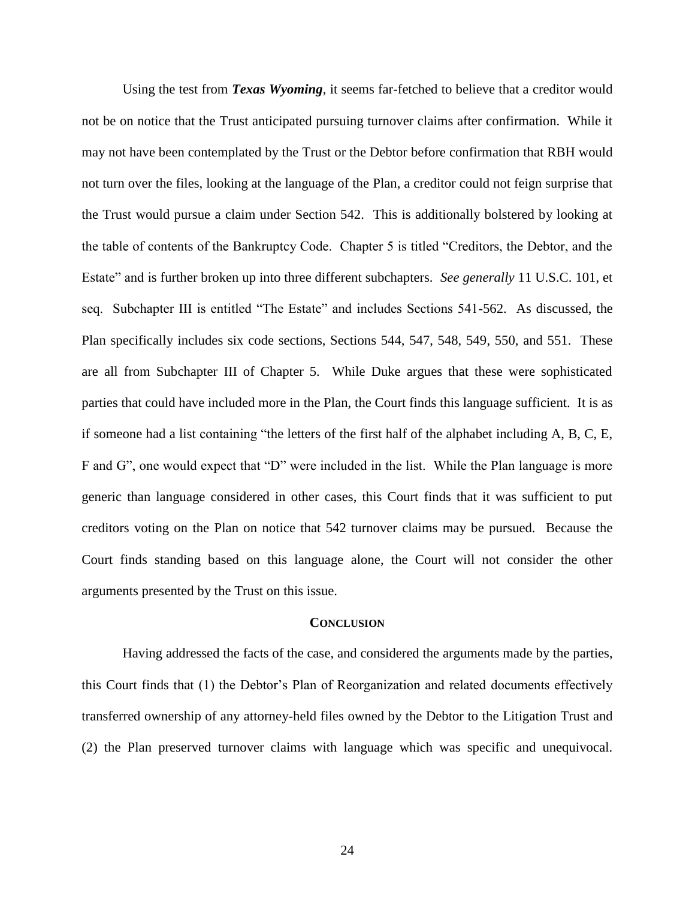Using the test from *Texas Wyoming*, it seems far-fetched to believe that a creditor would not be on notice that the Trust anticipated pursuing turnover claims after confirmation. While it may not have been contemplated by the Trust or the Debtor before confirmation that RBH would not turn over the files, looking at the language of the Plan, a creditor could not feign surprise that the Trust would pursue a claim under Section 542. This is additionally bolstered by looking at the table of contents of the Bankruptcy Code. Chapter 5 is titled "Creditors, the Debtor, and the Estate" and is further broken up into three different subchapters. *See generally* 11 U.S.C. 101, et seq. Subchapter III is entitled "The Estate" and includes Sections 541-562. As discussed, the Plan specifically includes six code sections, Sections 544, 547, 548, 549, 550, and 551. These are all from Subchapter III of Chapter 5. While Duke argues that these were sophisticated parties that could have included more in the Plan, the Court finds this language sufficient. It is as if someone had a list containing "the letters of the first half of the alphabet including A, B, C, E, F and G", one would expect that "D" were included in the list. While the Plan language is more generic than language considered in other cases, this Court finds that it was sufficient to put creditors voting on the Plan on notice that 542 turnover claims may be pursued. Because the Court finds standing based on this language alone, the Court will not consider the other arguments presented by the Trust on this issue.

#### **CONCLUSION**

Having addressed the facts of the case, and considered the arguments made by the parties, this Court finds that (1) the Debtor"s Plan of Reorganization and related documents effectively transferred ownership of any attorney-held files owned by the Debtor to the Litigation Trust and (2) the Plan preserved turnover claims with language which was specific and unequivocal.